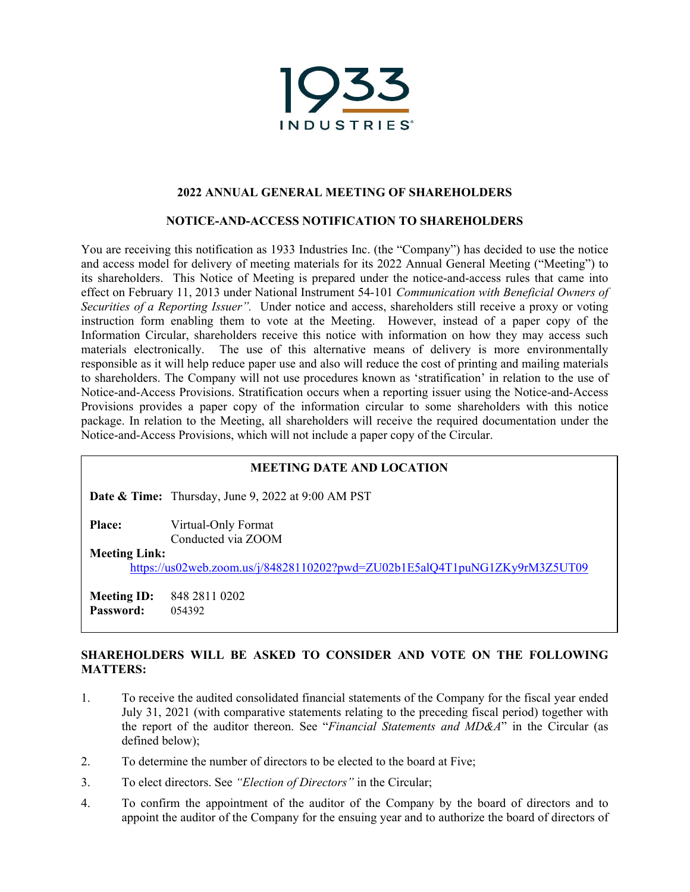

### **2022 ANNUAL GENERAL MEETING OF SHAREHOLDERS**

#### **NOTICE-AND-ACCESS NOTIFICATION TO SHAREHOLDERS**

You are receiving this notification as 1933 Industries Inc. (the "Company") has decided to use the notice and access model for delivery of meeting materials for its 2022 Annual General Meeting ("Meeting") to its shareholders. This Notice of Meeting is prepared under the notice-and-access rules that came into effect on February 11, 2013 under National Instrument 54-101 *Communication with Beneficial Owners of Securities of a Reporting Issuer".* Under notice and access, shareholders still receive a proxy or voting instruction form enabling them to vote at the Meeting. However, instead of a paper copy of the Information Circular, shareholders receive this notice with information on how they may access such materials electronically. The use of this alternative means of delivery is more environmentally responsible as it will help reduce paper use and also will reduce the cost of printing and mailing materials to shareholders. The Company will not use procedures known as 'stratification' in relation to the use of Notice-and-Access Provisions. Stratification occurs when a reporting issuer using the Notice-and-Access Provisions provides a paper copy of the information circular to some shareholders with this notice package. In relation to the Meeting, all shareholders will receive the required documentation under the Notice-and-Access Provisions, which will not include a paper copy of the Circular.

### **MEETING DATE AND LOCATION**

**Date & Time:** Thursday, June 9, 2022 at 9:00 AM PST

**Place:** Virtual-Only Format

Conducted via ZOOM

**Meeting Link:**

https://us02web.zoom.us/j/84828110202?pwd=ZU02b1E5alQ4T1puNG1ZKy9rM3Z5UT09

**Meeting ID:** 848 2811 0202 **Password:** 054392

## **SHAREHOLDERS WILL BE ASKED TO CONSIDER AND VOTE ON THE FOLLOWING MATTERS:**

- 1. To receive the audited consolidated financial statements of the Company for the fiscal year ended July 31, 2021 (with comparative statements relating to the preceding fiscal period) together with the report of the auditor thereon. See "*Financial Statements and MD&A*" in the Circular (as defined below);
- 2. To determine the number of directors to be elected to the board at Five;
- 3. To elect directors. See *"Election of Directors"* in the Circular;
- 4. To confirm the appointment of the auditor of the Company by the board of directors and to appoint the auditor of the Company for the ensuing year and to authorize the board of directors of